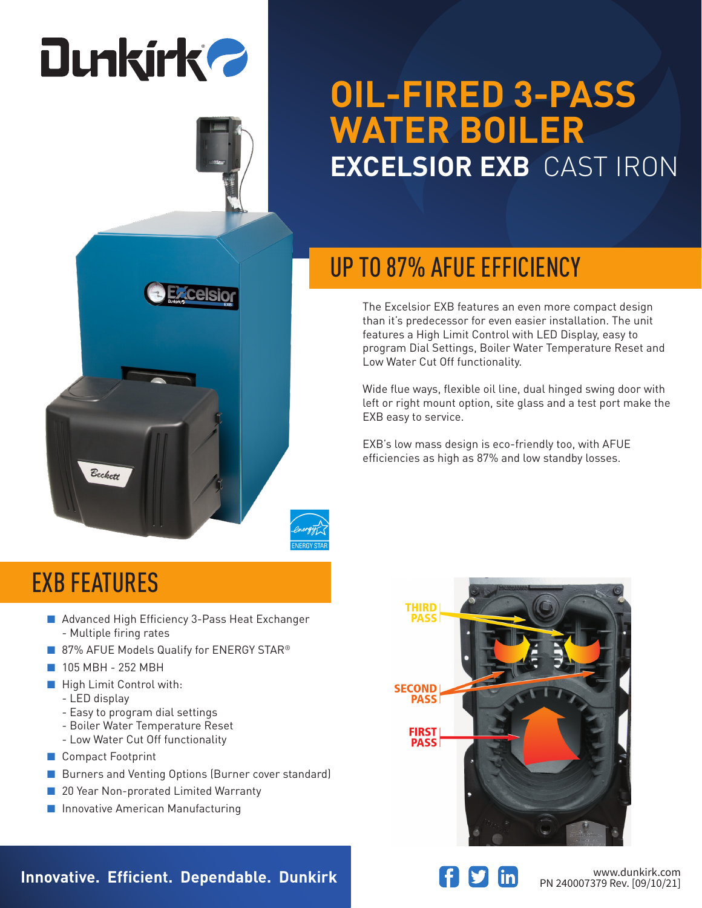# **Dunkirk 2**

### **OIL-FIRED 3-PASS WATER BOILER EXCELSIOR EXB** CAST IRON

### UP TO 87% AFUE EFFICIENCY

The Excelsior EXB features an even more compact design than it's predecessor for even easier installation. The unit features a High Limit Control with LED Display, easy to program Dial Settings, Boiler Water Temperature Reset and Low Water Cut Off functionality.

Wide flue ways, flexible oil line, dual hinged swing door with left or right mount option, site glass and a test port make the EXB easy to service.

EXB's low mass design is eco-friendly too, with AFUE efficiencies as high as 87% and low standby losses.



#### EXB FEATURES

Beckett

■ Advanced High Efficiency 3-Pass Heat Exchanger - Multiple firing rates

**Celsio** 

- 87% AFUE Models Qualify for ENERGY STAR<sup>®</sup>
- 105 MBH 252 MBH
- High Limit Control with:
	- LED display
	- Easy to program dial settings
	- Boiler Water Temperature Reset
	- Low Water Cut Off functionality
- Compact Footprint
- Burners and Venting Options (Burner cover standard)
- 20 Year Non-prorated Limited Warranty
- Innovative American Manufacturing



**Innovative. Efficient. Dependable. Dunkirk and Southern Communistry of the Magnus WWW.dunkirk.com**